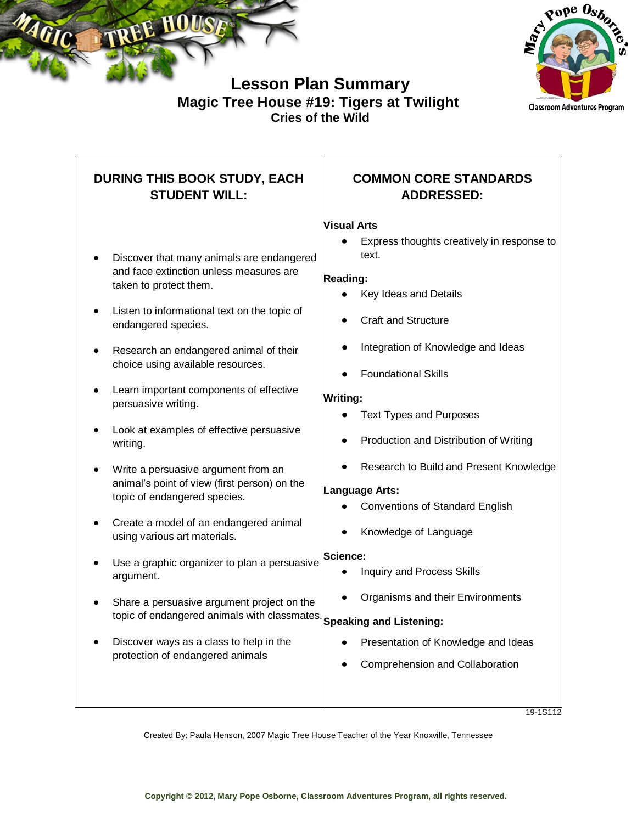



# **Lesson Plan Summary Magic Tree House #19: Tigers at Twilight Cries of the Wild**

# **DURING THIS BOOK STUDY, EACH STUDENT WILL:**

- Discover that many animals are endangered and face extinction unless measures are taken to protect them.
- Listen to informational text on the topic of endangered species.
- Research an endangered animal of their choice using available resources.
- Learn important components of effective persuasive writing.
- Look at examples of effective persuasive writing.
- Write a persuasive argument from an animal's point of view (first person) on the topic of endangered species.
- Create a model of an endangered animal using various art materials.
- Use a graphic organizer to plan a persuasive argument.
- Share a persuasive argument project on the topic of endangered animals with classmates. **Speaking and Listening:**
- Discover ways as a class to help in the protection of endangered animals

## **COMMON CORE STANDARDS ADDRESSED:**

### **Visual Arts**

Express thoughts creatively in response to text.

### **Reading:**

- Key Ideas and Details
- Craft and Structure
- Integration of Knowledge and Ideas
- Foundational Skills

### **Writing:**

- Text Types and Purposes
- Production and Distribution of Writing
- Research to Build and Present Knowledge

### **Language Arts:**

- Conventions of Standard English
- Knowledge of Language

### **Science:**

- Inquiry and Process Skills
- Organisms and their Environments

- Presentation of Knowledge and Ideas
- Comprehension and Collaboration

19-1S112

Created By: Paula Henson, 2007 Magic Tree House Teacher of the Year Knoxville, Tennessee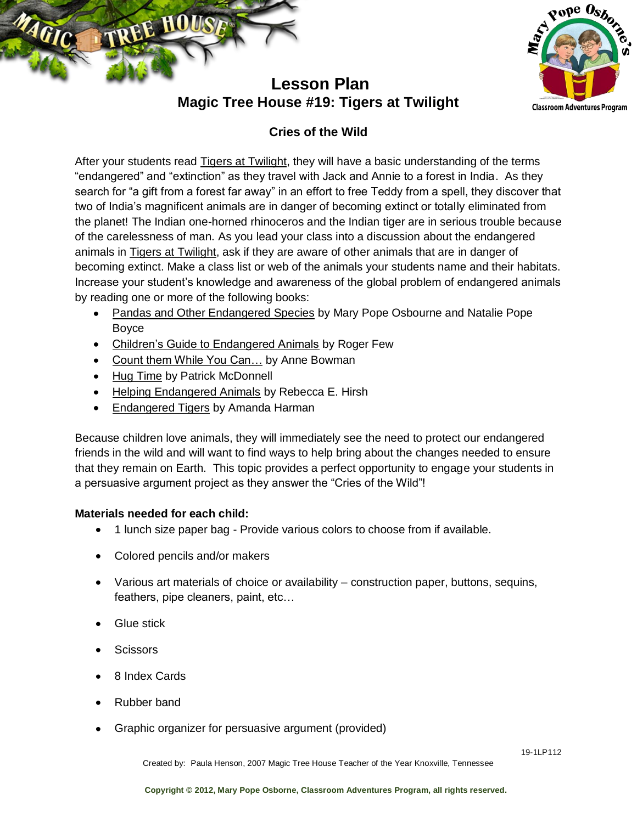



# **Lesson Plan Magic Tree House #19: Tigers at Twilight**

## **Cries of the Wild**

After your students read Tigers at Twilight, they will have a basic understanding of the terms "endangered" and "extinction" as they travel with Jack and Annie to a forest in India. As they search for "a gift from a forest far away" in an effort to free Teddy from a spell, they discover that two of India's magnificent animals are in danger of becoming extinct or totally eliminated from the planet! The Indian one-horned rhinoceros and the Indian tiger are in serious trouble because of the carelessness of man. As you lead your class into a discussion about the endangered animals in Tigers at Twilight, ask if they are aware of other animals that are in danger of becoming extinct. Make a class list or web of the animals your students name and their habitats. Increase your student's knowledge and awareness of the global problem of endangered animals by reading one or more of the following books:

- Pandas and Other Endangered Species by Mary Pope Osbourne and Natalie Pope Boyce
- Children's Guide to Endangered Animals by Roger Few
- Count them While You Can... by Anne Bowman
- Hug Time by Patrick McDonnell
- Helping Endangered Animals by Rebecca E. Hirsh
- Endangered Tigers by Amanda Harman

Because children love animals, they will immediately see the need to protect our endangered friends in the wild and will want to find ways to help bring about the changes needed to ensure that they remain on Earth. This topic provides a perfect opportunity to engage your students in a persuasive argument project as they answer the "Cries of the Wild"!

## **Materials needed for each child:**

- 1 lunch size paper bag Provide various colors to choose from if available.  $\bullet$
- Colored pencils and/or makers
- Various art materials of choice or availability construction paper, buttons, sequins, feathers, pipe cleaners, paint, etc…
- Glue stick
- Scissors
- 8 Index Cards
- Rubber band
- Graphic organizer for persuasive argument (provided)

Created by: Paula Henson, 2007 Magic Tree House Teacher of the Year Knoxville, Tennessee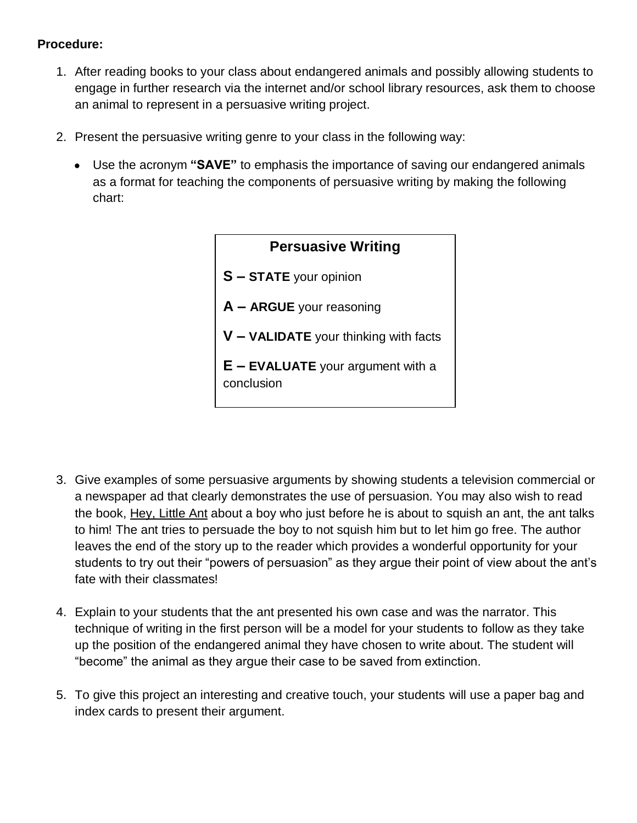## **Procedure:**

- 1. After reading books to your class about endangered animals and possibly allowing students to engage in further research via the internet and/or school library resources, ask them to choose an animal to represent in a persuasive writing project.
- 2. Present the persuasive writing genre to your class in the following way:
	- Use the acronym **"SAVE"** to emphasis the importance of saving our endangered animals as a format for teaching the components of persuasive writing by making the following chart:



- 3. Give examples of some persuasive arguments by showing students a television commercial or a newspaper ad that clearly demonstrates the use of persuasion. You may also wish to read the book, Hey, Little Ant about a boy who just before he is about to squish an ant, the ant talks to him! The ant tries to persuade the boy to not squish him but to let him go free. The author leaves the end of the story up to the reader which provides a wonderful opportunity for your students to try out their "powers of persuasion" as they argue their point of view about the ant's fate with their classmates!
- 4. Explain to your students that the ant presented his own case and was the narrator. This technique of writing in the first person will be a model for your students to follow as they take up the position of the endangered animal they have chosen to write about. The student will "become" the animal as they argue their case to be saved from extinction.
- 5. To give this project an interesting and creative touch, your students will use a paper bag and index cards to present their argument.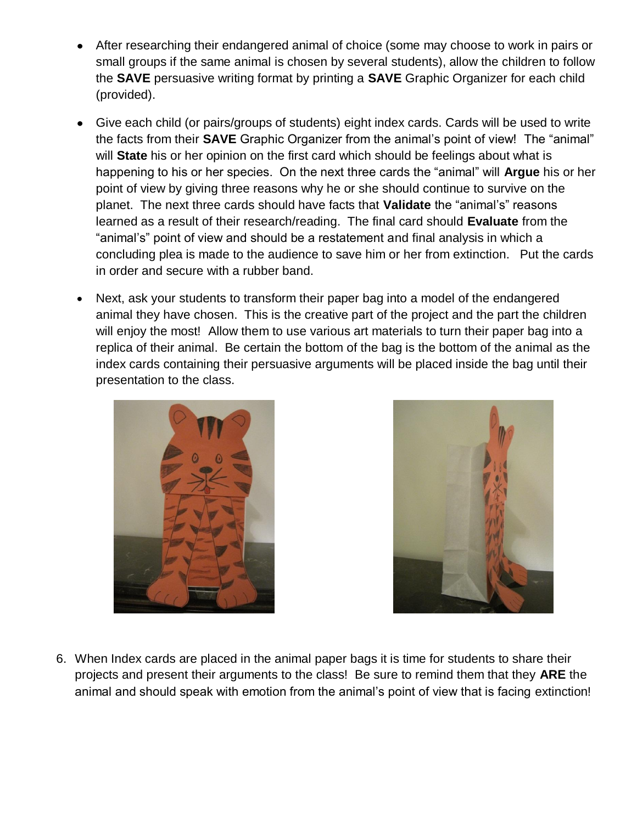- After researching their endangered animal of choice (some may choose to work in pairs or small groups if the same animal is chosen by several students), allow the children to follow the **SAVE** persuasive writing format by printing a **SAVE** Graphic Organizer for each child (provided).
- Give each child (or pairs/groups of students) eight index cards. Cards will be used to write the facts from their **SAVE** Graphic Organizer from the animal's point of view! The "animal" will **State** his or her opinion on the first card which should be feelings about what is happening to his or her species. On the next three cards the "animal" will **Argue** his or her point of view by giving three reasons why he or she should continue to survive on the planet. The next three cards should have facts that **Validate** the "animal's" reasons learned as a result of their research/reading. The final card should **Evaluate** from the "animal's" point of view and should be a restatement and final analysis in which a concluding plea is made to the audience to save him or her from extinction. Put the cards in order and secure with a rubber band.
- Next, ask your students to transform their paper bag into a model of the endangered animal they have chosen. This is the creative part of the project and the part the children will enjoy the most! Allow them to use various art materials to turn their paper bag into a replica of their animal. Be certain the bottom of the bag is the bottom of the animal as the index cards containing their persuasive arguments will be placed inside the bag until their presentation to the class.





6. When Index cards are placed in the animal paper bags it is time for students to share their projects and present their arguments to the class! Be sure to remind them that they **ARE** the animal and should speak with emotion from the animal's point of view that is facing extinction!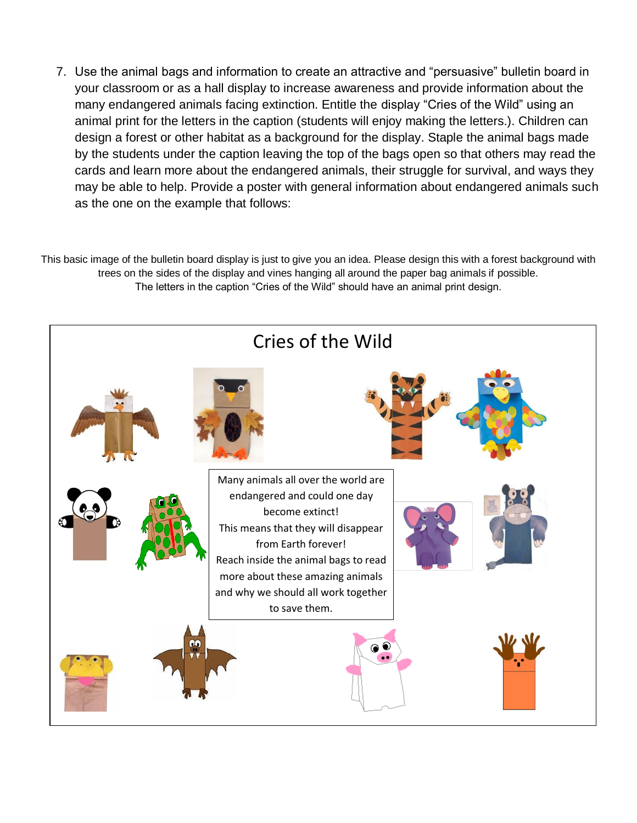7. Use the animal bags and information to create an attractive and "persuasive" bulletin board in your classroom or as a hall display to increase awareness and provide information about the many endangered animals facing extinction. Entitle the display "Cries of the Wild" using an animal print for the letters in the caption (students will enjoy making the letters.). Children can design a forest or other habitat as a background for the display. Staple the animal bags made by the students under the caption leaving the top of the bags open so that others may read the cards and learn more about the endangered animals, their struggle for survival, and ways they may be able to help. Provide a poster with general information about endangered animals such as the one on the example that follows:

This basic image of the bulletin board display is just to give you an idea. Please design this with a forest background with trees on the sides of the display and vines hanging all around the paper bag animals if possible. The letters in the caption "Cries of the Wild" should have an animal print design.

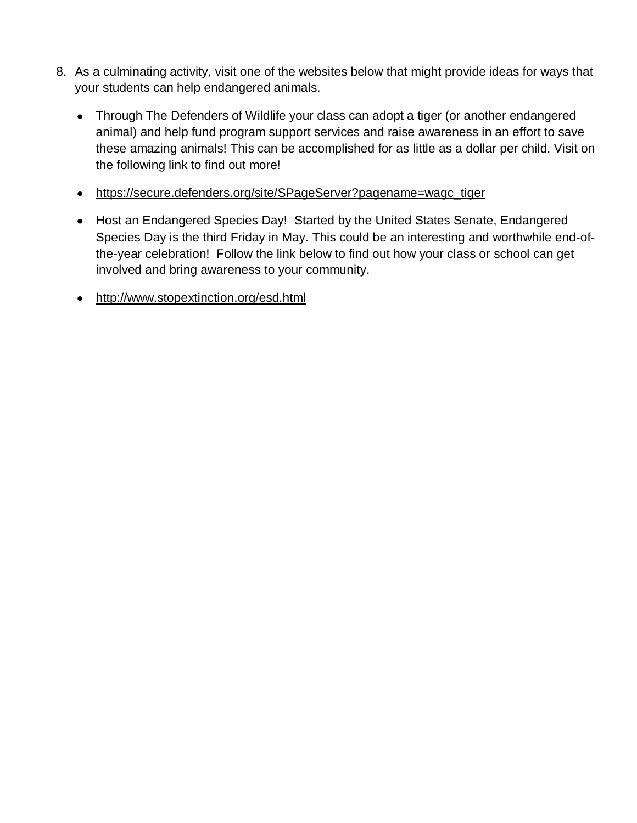- 8. As a culminating activity, visit one of the websites below that might provide ideas for ways that your students can help endangered animals.
	- Through The Defenders of Wildlife your class can adopt a tiger (or another endangered animal) and help fund program support services and raise awareness in an effort to save these amazing animals! This can be accomplished for as little as a dollar per child. Visit on the following link to find out more!
	- https://secure.defenders.org/site/SPageServer?pagename=wagc\_tiger
	- Host an Endangered Species Day! Started by the United States Senate, Endangered Species Day is the third Friday in May. This could be an interesting and worthwhile end-ofthe-year celebration! Follow the link below to find out how your class or school can get involved and bring awareness to your community.
	- http://www.stopextinction.org/esd.html